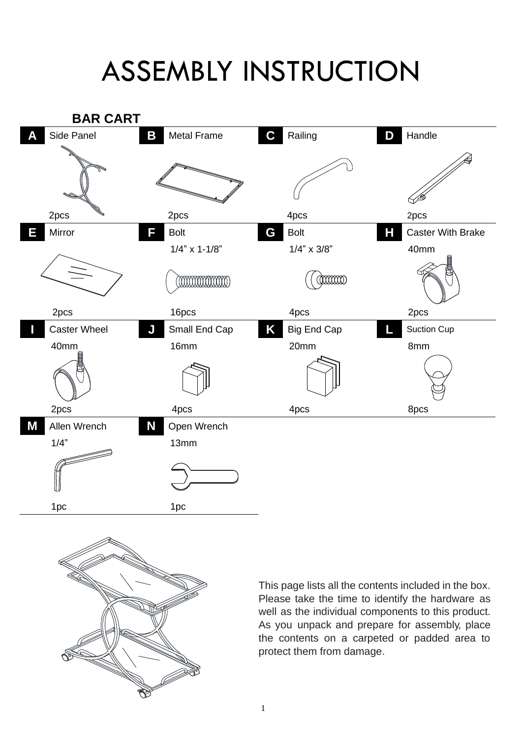## ASSEMBLY INSTRUCTION





This page lists all the contents included in the box. Please take the time to identify the hardware as well as the individual components to this product. As you unpack and prepare for assembly, place the contents on a carpeted or padded area to protect them from damage.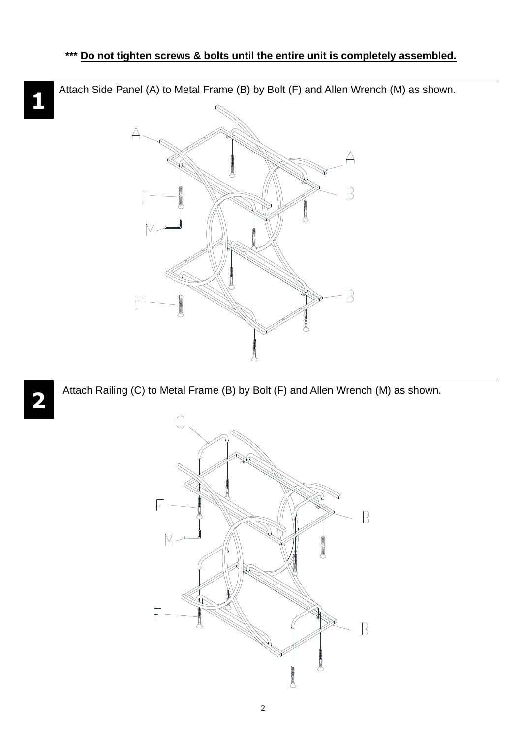Attach Side Panel (A) to Metal Frame (B) by Bolt (F) and Allen Wrench (M) as shown.



Attach Railing (C) to Metal Frame (B) by Bolt (F) and Allen Wrench (M) as shown.



## **1**

**2**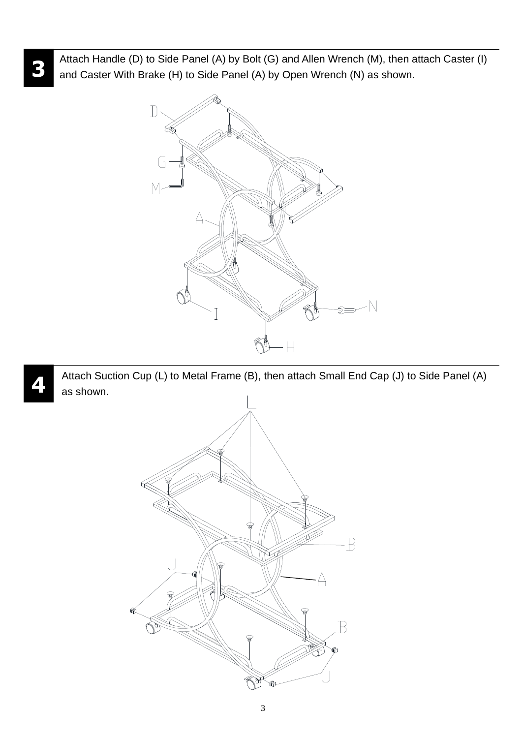Attach Handle (D) to Side Panel (A) by Bolt (G) and Allen Wrench (M), then attach Caster (I) and Caster With Brake (H) to Side Panel (A) by Open Wrench (N) as shown.



Attach Suction Cup (L) to Metal Frame (B), then attach Small End Cap (J) to Side Panel (A) as shown.



3

**4**